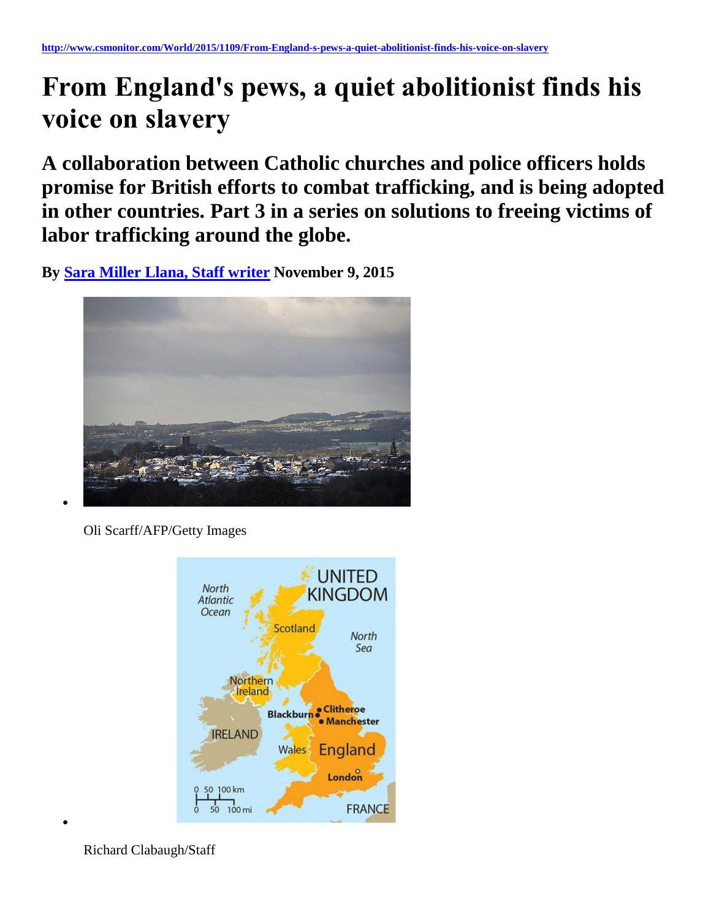# **From England's pews, a quiet abolitionist finds his voice on slavery**

**A collaboration between Catholic churches and police officers holds promise for British efforts to combat trafficking, and is being adopted in other countries. Part 3 in a series on solutions to freeing victims of labor trafficking around the globe.**

**By [Sara Miller Llana, Staff writer](http://www.csmonitor.com/World/2015/1109/From-England-s-pews-a-quiet-abolitionist-finds-his-voice-on-slavery) November 9, 2015** 



Oli Scarff/AFP/Getty Images



Richard Clabaugh/Staff

 $\bullet$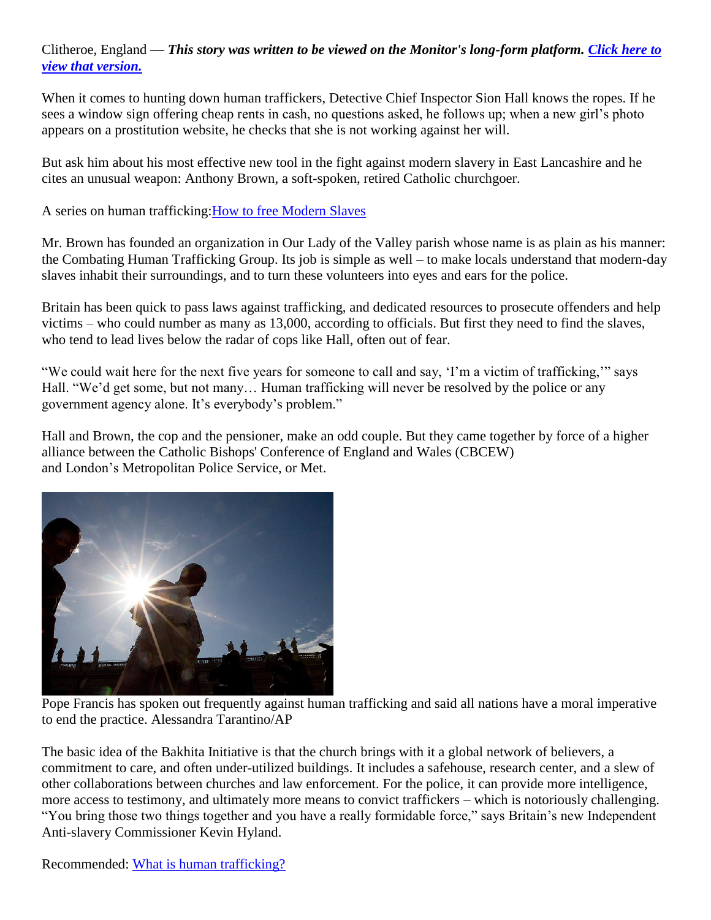#### Clitheroe, England — *This story was written to be viewed on the Monitor's long-form platform. [Click here to](http://humantrafficking.csmonitor.com/englands-pews)  [view that version.](http://humantrafficking.csmonitor.com/englands-pews)*

When it comes to hunting down human traffickers, Detective Chief Inspector Sion Hall knows the ropes. If he sees a window sign offering cheap rents in cash, no questions asked, he follows up; when a new girl's photo appears on a prostitution website, he checks that she is not working against her will.

But ask him about his most effective new tool in the fight against modern slavery in East Lancashire and he cites an unusual weapon: Anthony Brown, a soft-spoken, retired Catholic churchgoer.

A series on human trafficking[:How to free Modern Slaves](http://www.csmonitor.com/World/Topics/Human-Trafficking-Series)

Mr. Brown has founded an organization in Our Lady of the Valley parish whose name is as plain as his manner: the Combating Human Trafficking Group. Its job is simple as well – to make locals understand that modern-day slaves inhabit their surroundings, and to turn these volunteers into eyes and ears for the police.

Britain has been quick to pass laws against trafficking, and dedicated resources to prosecute offenders and help victims – who could number as many as 13,000, according to officials. But first they need to find the slaves, who tend to lead lives below the radar of cops like Hall, often out of fear.

"We could wait here for the next five years for someone to call and say, 'I'm a victim of trafficking,'" says Hall. "We'd get some, but not many... Human trafficking will never be resolved by the police or any government agency alone. It's everybody's problem."

Hall and Brown, the cop and the pensioner, make an odd couple. But they came together by force of a higher alliance between the Catholic Bishops' Conference of England and Wales (CBCEW) and London's Metropolitan Police Service, or Met.



Pope Francis has spoken out frequently against human trafficking and said all nations have a moral imperative to end the practice. Alessandra Tarantino/AP

The basic idea of the Bakhita Initiative is that the church brings with it a global network of believers, a commitment to care, and often under-utilized buildings. It includes a safehouse, research center, and a slew of other collaborations between churches and law enforcement. For the police, it can provide more intelligence, more access to testimony, and ultimately more means to convict traffickers – which is notoriously challenging. "You bring those two things together and you have a really formidable force," says Britain's new Independent Anti-slavery Commissioner Kevin Hyland.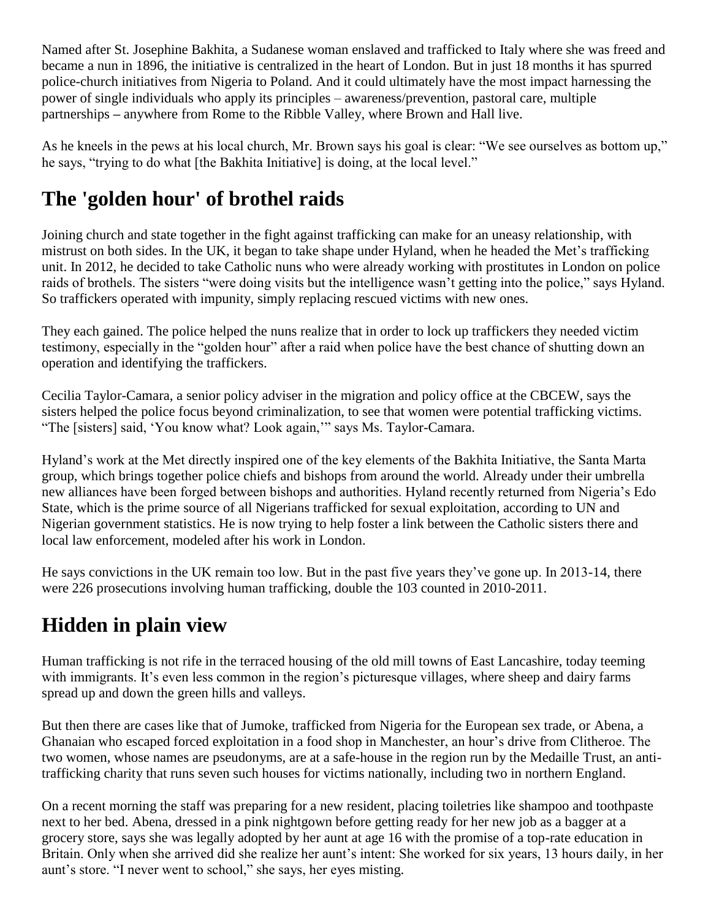Named after St. Josephine Bakhita, a Sudanese woman enslaved and trafficked to Italy where she was freed and became a nun in 1896, the initiative is centralized in the heart of London. But in just 18 months it has spurred police-church initiatives from Nigeria to Poland. And it could ultimately have the most impact harnessing the power of single individuals who apply its principles – awareness/prevention, pastoral care, multiple partnerships **–** anywhere from Rome to the Ribble Valley, where Brown and Hall live.

As he kneels in the pews at his local church, Mr. Brown says his goal is clear: "We see ourselves as bottom up," he says, "trying to do what [the Bakhita Initiative] is doing, at the local level."

# **The 'golden hour' of brothel raids**

Joining church and state together in the fight against trafficking can make for an uneasy relationship, with mistrust on both sides. In the UK, it began to take shape under Hyland, when he headed the Met's trafficking unit. In 2012, he decided to take Catholic nuns who were already working with prostitutes in London on police raids of brothels. The sisters "were doing visits but the intelligence wasn't getting into the police," says Hyland. So traffickers operated with impunity, simply replacing rescued victims with new ones.

They each gained. The police helped the nuns realize that in order to lock up traffickers they needed victim testimony, especially in the "golden hour" after a raid when police have the best chance of shutting down an operation and identifying the traffickers.

Cecilia Taylor-Camara, a senior policy adviser in the migration and policy office at the CBCEW, says the sisters helped the police focus beyond criminalization, to see that women were potential trafficking victims. "The [sisters] said, 'You know what? Look again,'" says Ms. Taylor-Camara.

Hyland's work at the Met directly inspired one of the key elements of the Bakhita Initiative, the Santa Marta group, which brings together police chiefs and bishops from around the world. Already under their umbrella new alliances have been forged between bishops and authorities. Hyland recently returned from Nigeria's Edo State, which is the prime source of all Nigerians trafficked for sexual exploitation, according to UN and Nigerian government statistics. He is now trying to help foster a link between the Catholic sisters there and local law enforcement, modeled after his work in London.

He says convictions in the UK remain too low. But in the past five years they've gone up. In 2013-14, there were 226 prosecutions involving human trafficking, double the 103 counted in 2010-2011.

# **Hidden in plain view**

Human trafficking is not rife in the terraced housing of the old mill towns of East Lancashire, today teeming with immigrants. It's even less common in the region's picturesque villages, where sheep and dairy farms spread up and down the green hills and valleys.

But then there are cases like that of Jumoke, trafficked from Nigeria for the European sex trade, or Abena, a Ghanaian who escaped forced exploitation in a food shop in Manchester, an hour's drive from Clitheroe. The two women, whose names are pseudonyms, are at a safe-house in the region run by the Medaille Trust, an antitrafficking charity that runs seven such houses for victims nationally, including two in northern England.

On a recent morning the staff was preparing for a new resident, placing toiletries like shampoo and toothpaste next to her bed. Abena, dressed in a pink nightgown before getting ready for her new job as a bagger at a grocery store, says she was legally adopted by her aunt at age 16 with the promise of a top-rate education in Britain. Only when she arrived did she realize her aunt's intent: She worked for six years, 13 hours daily, in her aunt's store. "I never went to school," she says, her eyes misting.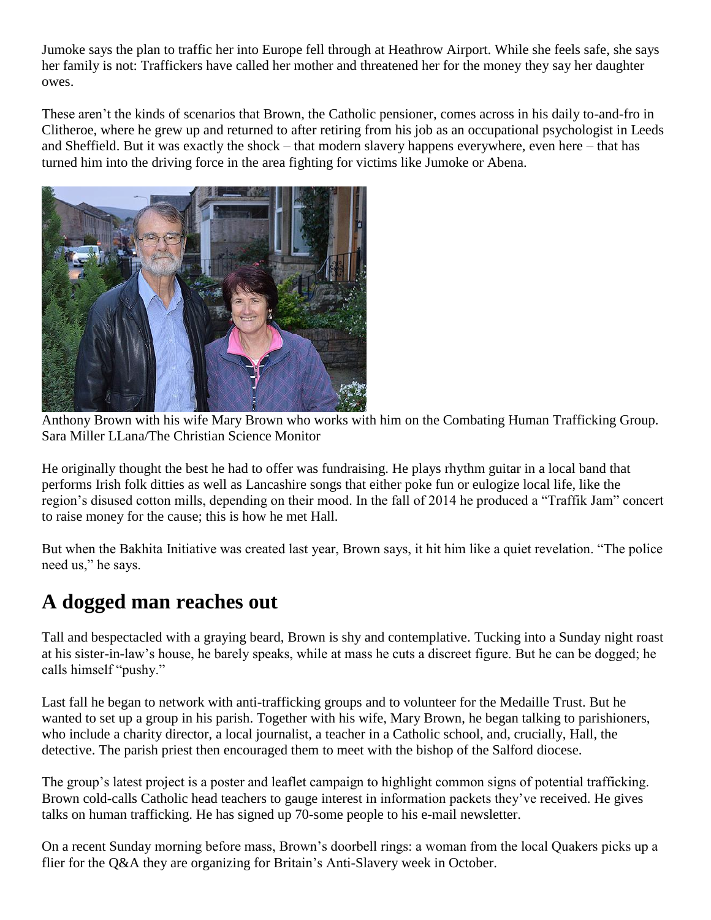Jumoke says the plan to traffic her into Europe fell through at Heathrow Airport. While she feels safe, she says her family is not: Traffickers have called her mother and threatened her for the money they say her daughter owes.

These aren't the kinds of scenarios that Brown, the Catholic pensioner, comes across in his daily to-and-fro in Clitheroe, where he grew up and returned to after retiring from his job as an occupational psychologist in Leeds and Sheffield. But it was exactly the shock – that modern slavery happens everywhere, even here – that has turned him into the driving force in the area fighting for victims like Jumoke or Abena.



Anthony Brown with his wife Mary Brown who works with him on the Combating Human Trafficking Group. Sara Miller LLana/The Christian Science Monitor

He originally thought the best he had to offer was fundraising. He plays rhythm guitar in a local band that performs Irish folk ditties as well as Lancashire songs that either poke fun or eulogize local life, like the region's disused cotton mills, depending on their mood. In the fall of 2014 he produced a "Traffik Jam" concert to raise money for the cause; this is how he met Hall.

But when the Bakhita Initiative was created last year, Brown says, it hit him like a quiet revelation. "The police need us," he says.

### **A dogged man reaches out**

Tall and bespectacled with a graying beard, Brown is shy and contemplative. Tucking into a Sunday night roast at his sister-in-law's house, he barely speaks, while at mass he cuts a discreet figure. But he can be dogged; he calls himself "pushy."

Last fall he began to network with anti-trafficking groups and to volunteer for the Medaille Trust. But he wanted to set up a group in his parish. Together with his wife, Mary Brown, he began talking to parishioners, who include a charity director, a local journalist, a teacher in a Catholic school, and, crucially, Hall, the detective. The parish priest then encouraged them to meet with the bishop of the Salford diocese.

The group's latest project is a poster and leaflet campaign to highlight common signs of potential trafficking. Brown cold-calls Catholic head teachers to gauge interest in information packets they've received. He gives talks on human trafficking. He has signed up 70-some people to his e-mail newsletter.

On a recent Sunday morning before mass, Brown's doorbell rings: a woman from the local Quakers picks up a flier for the Q&A they are organizing for Britain's Anti-Slavery week in October.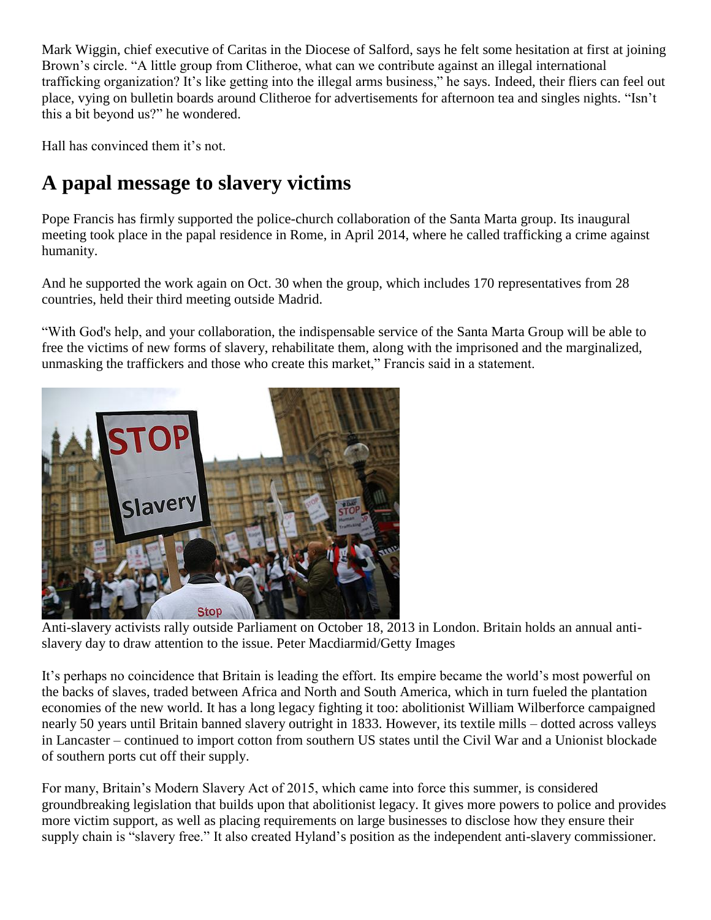Mark Wiggin, chief executive of Caritas in the Diocese of Salford, says he felt some hesitation at first at joining Brown's circle. "A little group from Clitheroe, what can we contribute against an illegal international trafficking organization? It's like getting into the illegal arms business," he says. Indeed, their fliers can feel out place, vying on bulletin boards around Clitheroe for advertisements for afternoon tea and singles nights. "Isn't this a bit beyond us?" he wondered.

Hall has convinced them it's not.

# **A papal message to slavery victims**

Pope Francis has firmly supported the police-church collaboration of the Santa Marta group. Its inaugural meeting took place in the papal residence in Rome, in April 2014, where he called trafficking a crime against humanity.

And he supported the work again on Oct. 30 when the group, which includes 170 representatives from 28 countries, held their third meeting outside Madrid.

"With God's help, and your collaboration, the indispensable service of the Santa Marta Group will be able to free the victims of new forms of slavery, rehabilitate them, along with the imprisoned and the marginalized, unmasking the traffickers and those who create this market," Francis said in a statement.



Anti-slavery activists rally outside Parliament on October 18, 2013 in London. Britain holds an annual antislavery day to draw attention to the issue. Peter Macdiarmid/Getty Images

It's perhaps no coincidence that Britain is leading the effort. Its empire became the world's most powerful on the backs of slaves, traded between Africa and North and South America, which in turn fueled the plantation economies of the new world. It has a long legacy fighting it too: abolitionist William Wilberforce campaigned nearly 50 years until Britain banned slavery outright in 1833. However, its textile mills – dotted across valleys in Lancaster – continued to import cotton from southern US states until the Civil War and a Unionist blockade of southern ports cut off their supply.

For many, Britain's Modern Slavery Act of 2015, which came into force this summer, is considered groundbreaking legislation that builds upon that abolitionist legacy. It gives more powers to police and provides more victim support, as well as placing requirements on large businesses to disclose how they ensure their supply chain is "slavery free." It also created Hyland's position as the independent anti-slavery commissioner.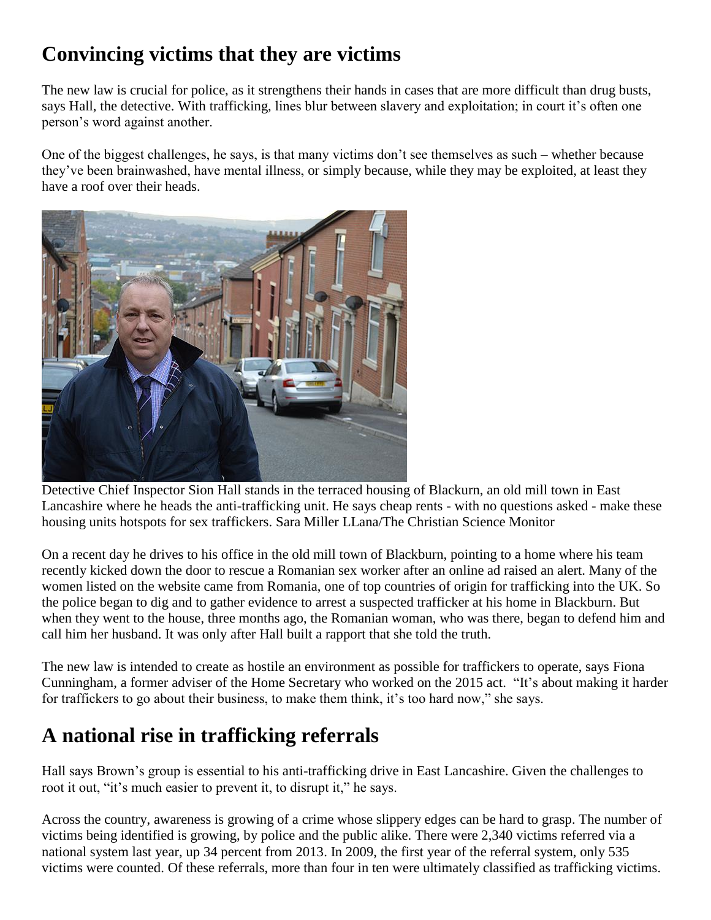## **Convincing victims that they are victims**

The new law is crucial for police, as it strengthens their hands in cases that are more difficult than drug busts, says Hall, the detective. With trafficking, lines blur between slavery and exploitation; in court it's often one person's word against another.

One of the biggest challenges, he says, is that many victims don't see themselves as such – whether because they've been brainwashed, have mental illness, or simply because, while they may be exploited, at least they have a roof over their heads.



Detective Chief Inspector Sion Hall stands in the terraced housing of Blackurn, an old mill town in East Lancashire where he heads the anti-trafficking unit. He says cheap rents - with no questions asked - make these housing units hotspots for sex traffickers. Sara Miller LLana/The Christian Science Monitor

On a recent day he drives to his office in the old mill town of Blackburn, pointing to a home where his team recently kicked down the door to rescue a Romanian sex worker after an online ad raised an alert. Many of the women listed on the website came from Romania, one of top countries of origin for trafficking into the UK. So the police began to dig and to gather evidence to arrest a suspected trafficker at his home in Blackburn. But when they went to the house, three months ago, the Romanian woman, who was there, began to defend him and call him her husband. It was only after Hall built a rapport that she told the truth.

The new law is intended to create as hostile an environment as possible for traffickers to operate, says Fiona Cunningham, a former adviser of the Home Secretary who worked on the 2015 act. "It's about making it harder for traffickers to go about their business, to make them think, it's too hard now," she says.

# **A national rise in trafficking referrals**

Hall says Brown's group is essential to his anti-trafficking drive in East Lancashire. Given the challenges to root it out, "it's much easier to prevent it, to disrupt it," he says.

Across the country, awareness is growing of a crime whose slippery edges can be hard to grasp. The number of victims being identified is growing, by police and the public alike. There were 2,340 victims referred via a national system last year, up 34 percent from 2013. In 2009, the first year of the referral system, only 535 victims were counted. Of these referrals, more than four in ten were ultimately classified as trafficking victims.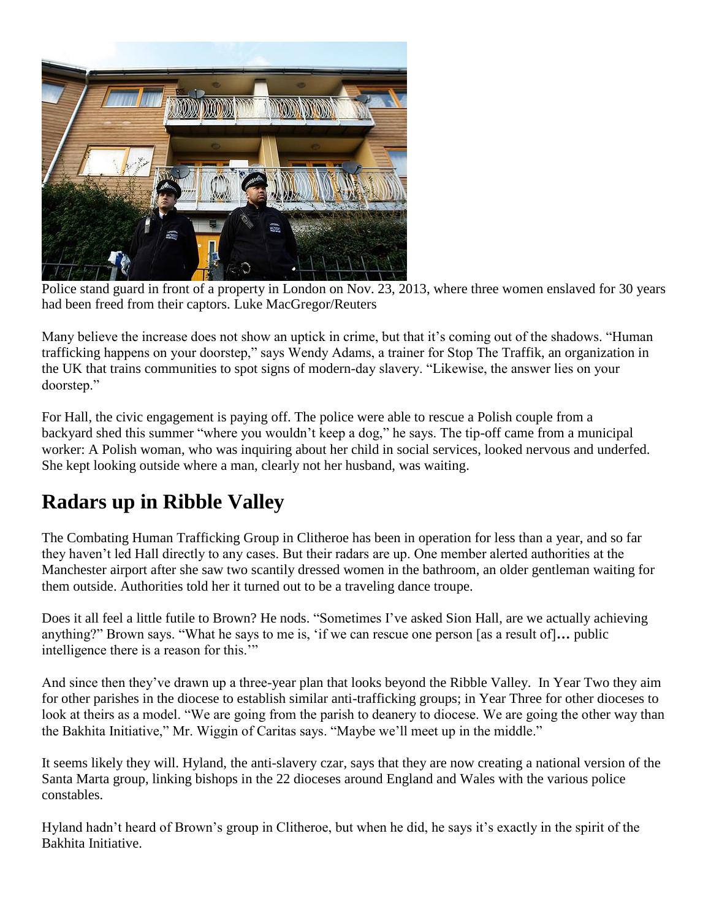

Police stand guard in front of a property in London on Nov. 23, 2013, where three women enslaved for 30 years had been freed from their captors. Luke MacGregor/Reuters

Many believe the increase does not show an uptick in crime, but that it's coming out of the shadows. "Human trafficking happens on your doorstep," says Wendy Adams, a trainer for Stop The Traffik, an organization in the UK that trains communities to spot signs of modern-day slavery. "Likewise, the answer lies on your doorstep."

For Hall, the civic engagement is paying off. The police were able to rescue a Polish couple from a backyard shed this summer "where you wouldn't keep a dog," he says. The tip-off came from a municipal worker: A Polish woman, who was inquiring about her child in social services, looked nervous and underfed. She kept looking outside where a man, clearly not her husband, was waiting.

# **Radars up in Ribble Valley**

The Combating Human Trafficking Group in Clitheroe has been in operation for less than a year, and so far they haven't led Hall directly to any cases. But their radars are up. One member alerted authorities at the Manchester airport after she saw two scantily dressed women in the bathroom, an older gentleman waiting for them outside. Authorities told her it turned out to be a traveling dance troupe.

Does it all feel a little futile to Brown? He nods. "Sometimes I've asked Sion Hall, are we actually achieving anything?" Brown says. "What he says to me is, 'if we can rescue one person [as a result of]**…** public intelligence there is a reason for this.'"

And since then they've drawn up a three-year plan that looks beyond the Ribble Valley. In Year Two they aim for other parishes in the diocese to establish similar anti-trafficking groups; in Year Three for other dioceses to look at theirs as a model. "We are going from the parish to deanery to diocese. We are going the other way than the Bakhita Initiative," Mr. Wiggin of Caritas says. "Maybe we'll meet up in the middle."

It seems likely they will. Hyland, the anti-slavery czar, says that they are now creating a national version of the Santa Marta group, linking bishops in the 22 dioceses around England and Wales with the various police constables.

Hyland hadn't heard of Brown's group in Clitheroe, but when he did, he says it's exactly in the spirit of the Bakhita Initiative.